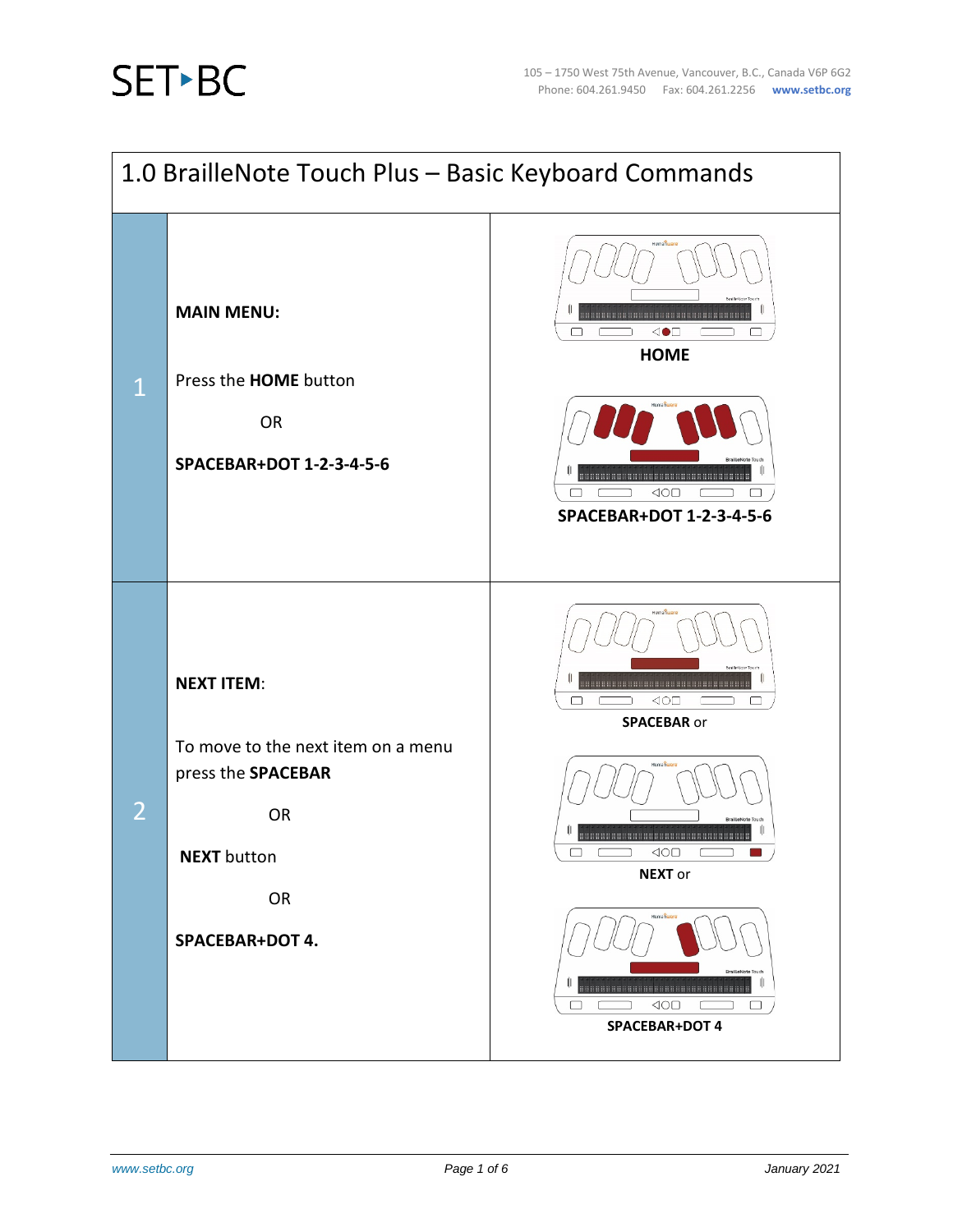

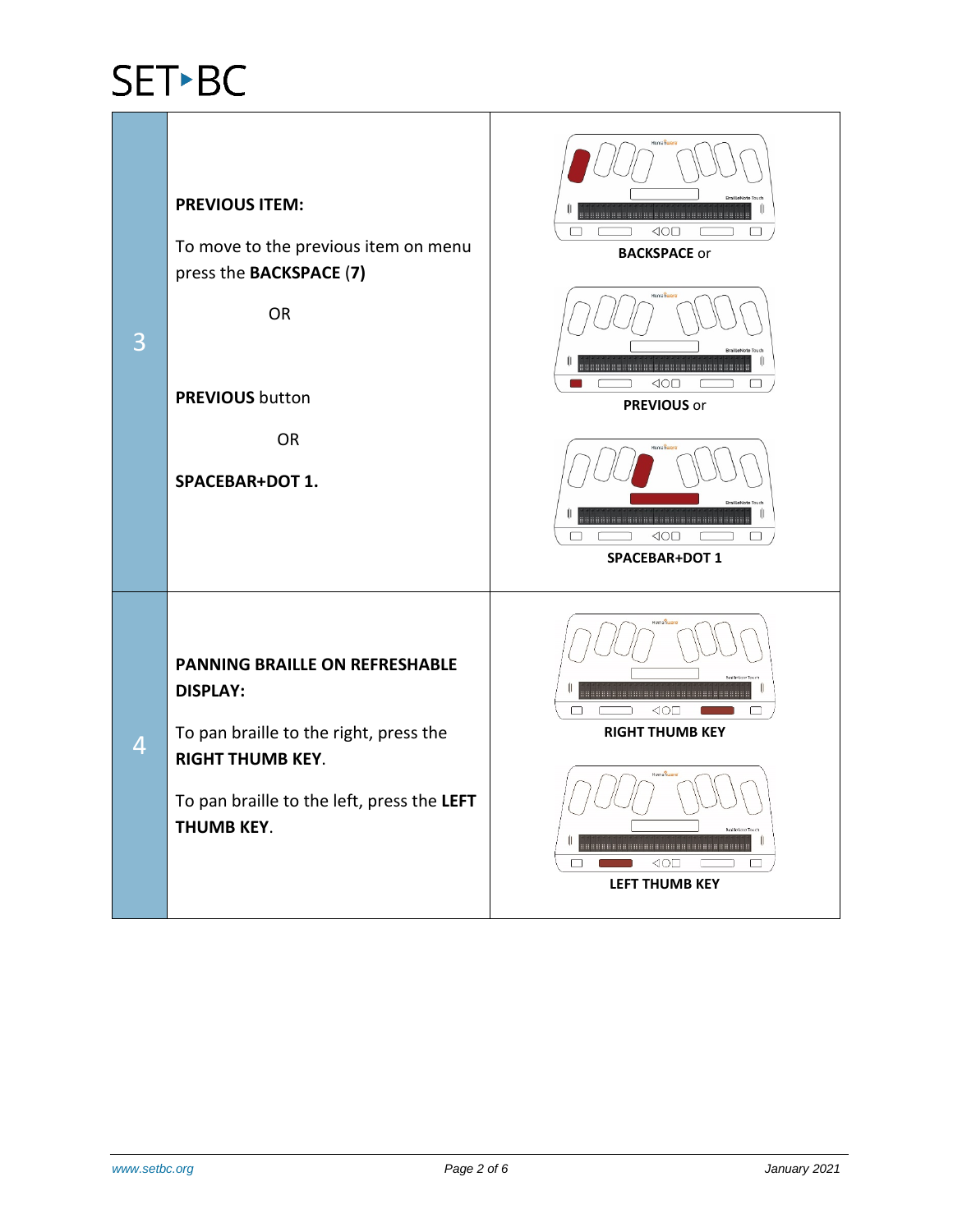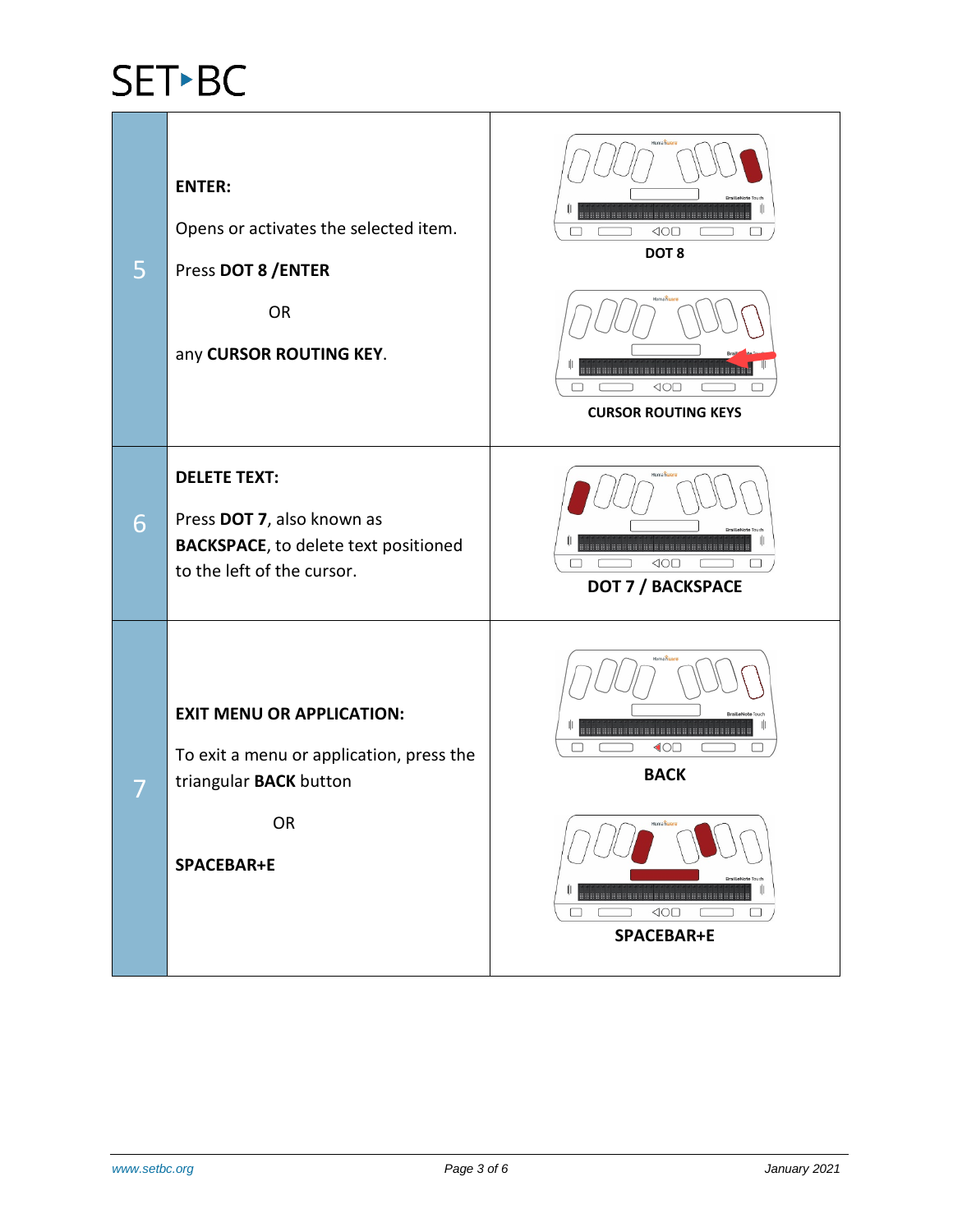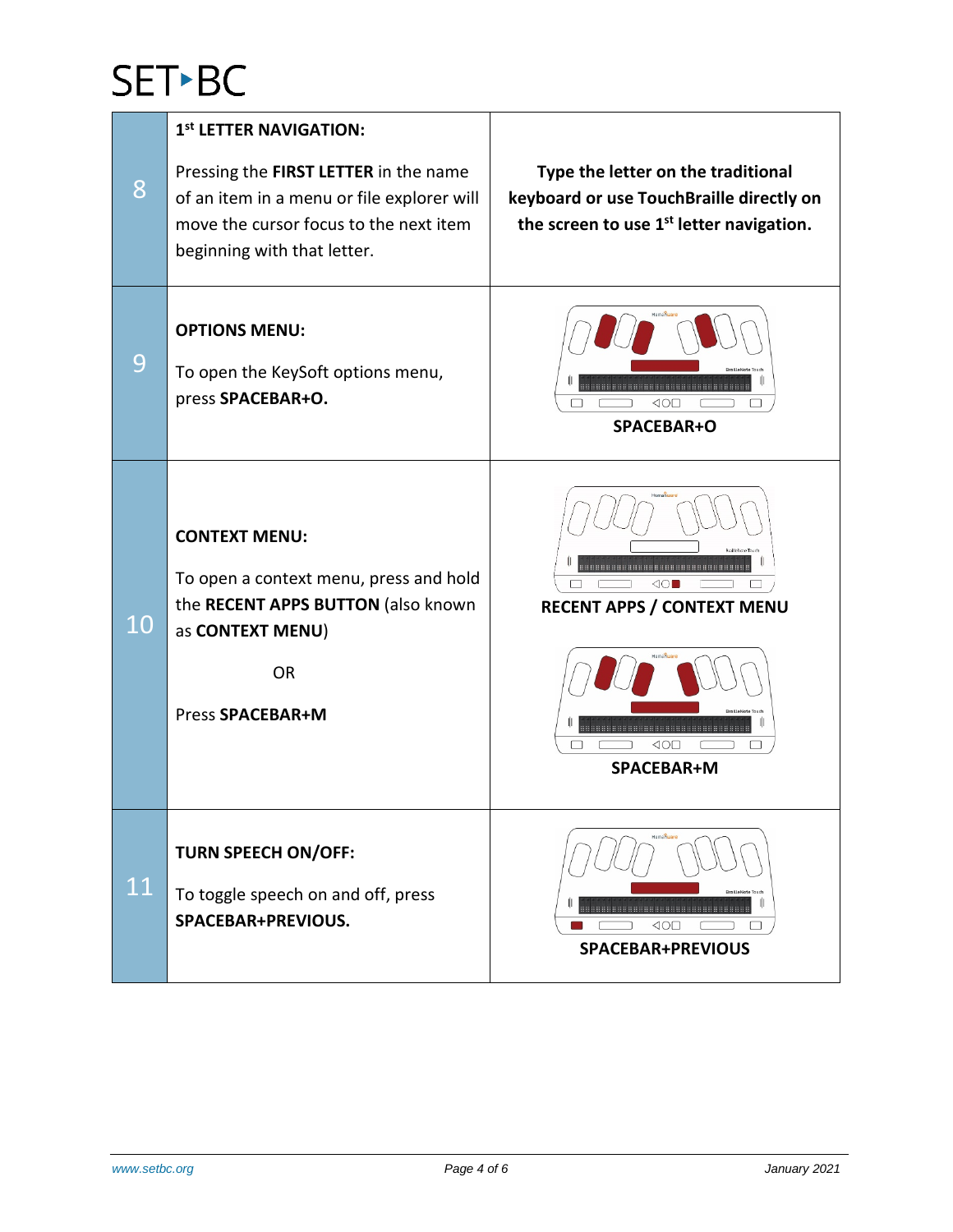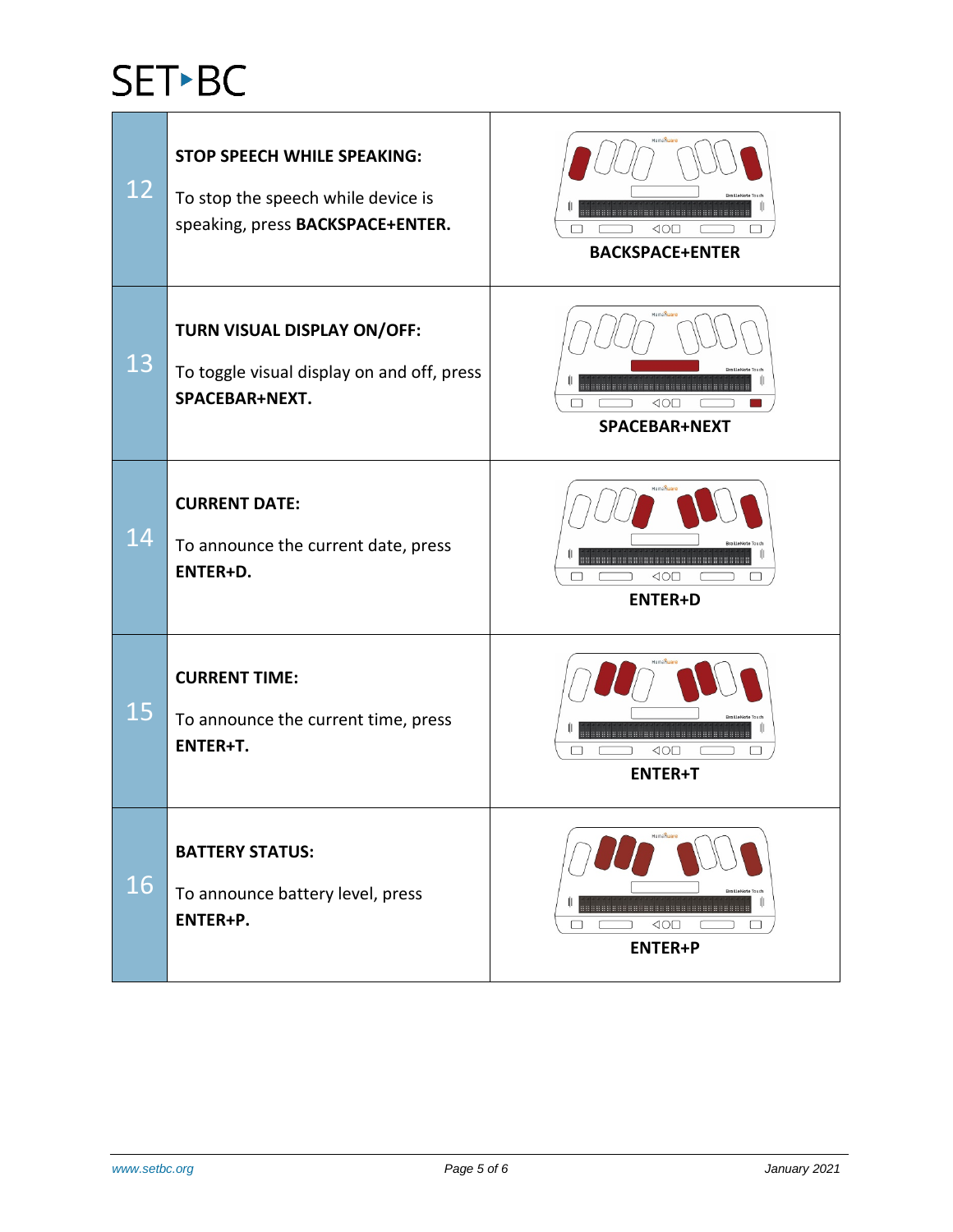# SET<sup>></sup>BC

| 12 | <b>STOP SPEECH WHILE SPEAKING:</b><br>To stop the speech while device is<br>speaking, press BACKSPACE+ENTER. | <b>Humanuar</b><br><b>RrailleNote</b><br>⊲o⊡<br><b>BACKSPACE+ENTER</b> |
|----|--------------------------------------------------------------------------------------------------------------|------------------------------------------------------------------------|
| 13 | TURN VISUAL DISPLAY ON/OFF:<br>To toggle visual display on and off, press<br>SPACEBAR+NEXT.                  | Humanua<br>,,,,,,,,,,,,,,,,,,,,,,,,,,,,,,,,,,,<br>40E<br>SPACEBAR+NEXT |
| 14 | <b>CURRENT DATE:</b><br>To announce the current date, press<br>ENTER+D.                                      | $\triangle$ O $\Box$<br><b>ENTER+D</b>                                 |
| 15 | <b>CURRENT TIME:</b><br>To announce the current time, press<br>ENTER+T.                                      | ⊲o⊡<br><b>ENTER+T</b>                                                  |
| 16 | <b>BATTERY STATUS:</b><br>To announce battery level, press<br>ENTER+P.                                       | Humanuar<br>$\triangleleft$ O $\Box$<br><b>ENTER+P</b>                 |